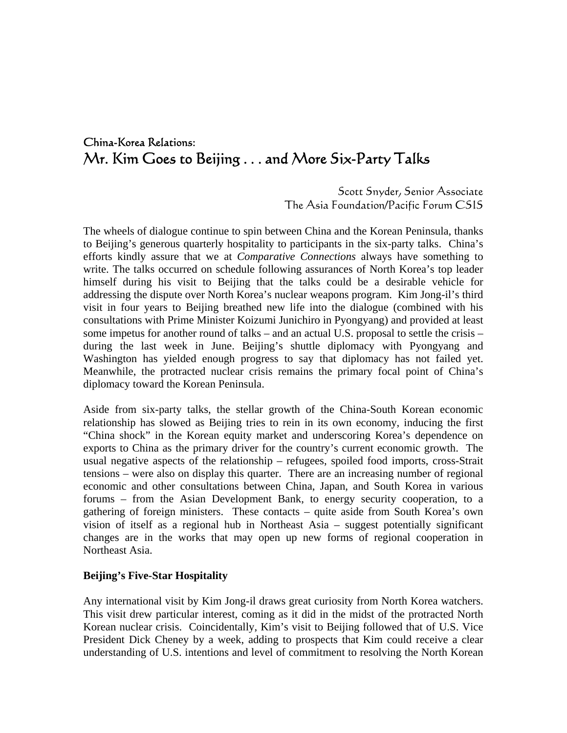# China-Korea Relations: Mr. Kim Goes to Beijing . . . and More Six-Party Talks

Scott Snyder, Senior Associate The Asia Foundation/Pacific Forum CSIS

The wheels of dialogue continue to spin between China and the Korean Peninsula, thanks to Beijing's generous quarterly hospitality to participants in the six-party talks. China's efforts kindly assure that we at *Comparative Connections* always have something to write. The talks occurred on schedule following assurances of North Korea's top leader himself during his visit to Beijing that the talks could be a desirable vehicle for addressing the dispute over North Korea's nuclear weapons program. Kim Jong-il's third visit in four years to Beijing breathed new life into the dialogue (combined with his consultations with Prime Minister Koizumi Junichiro in Pyongyang) and provided at least some impetus for another round of talks – and an actual U.S. proposal to settle the crisis – during the last week in June. Beijing's shuttle diplomacy with Pyongyang and Washington has yielded enough progress to say that diplomacy has not failed yet. Meanwhile, the protracted nuclear crisis remains the primary focal point of China's diplomacy toward the Korean Peninsula.

Aside from six-party talks, the stellar growth of the China-South Korean economic relationship has slowed as Beijing tries to rein in its own economy, inducing the first "China shock" in the Korean equity market and underscoring Korea's dependence on exports to China as the primary driver for the country's current economic growth. The usual negative aspects of the relationship – refugees, spoiled food imports, cross-Strait tensions – were also on display this quarter. There are an increasing number of regional economic and other consultations between China, Japan, and South Korea in various forums – from the Asian Development Bank, to energy security cooperation, to a gathering of foreign ministers. These contacts – quite aside from South Korea's own vision of itself as a regional hub in Northeast Asia – suggest potentially significant changes are in the works that may open up new forms of regional cooperation in Northeast Asia.

## **Beijing's Five-Star Hospitality**

Any international visit by Kim Jong-il draws great curiosity from North Korea watchers. This visit drew particular interest, coming as it did in the midst of the protracted North Korean nuclear crisis. Coincidentally, Kim's visit to Beijing followed that of U.S. Vice President Dick Cheney by a week, adding to prospects that Kim could receive a clear understanding of U.S. intentions and level of commitment to resolving the North Korean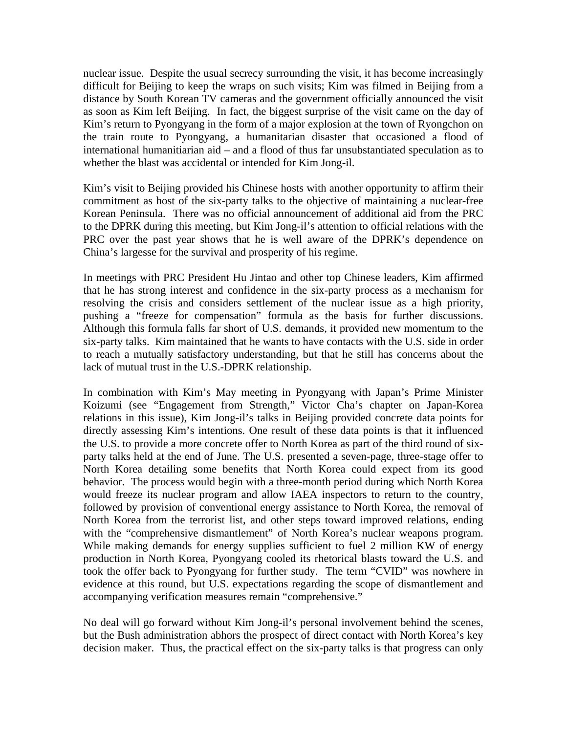nuclear issue. Despite the usual secrecy surrounding the visit, it has become increasingly difficult for Beijing to keep the wraps on such visits; Kim was filmed in Beijing from a distance by South Korean TV cameras and the government officially announced the visit as soon as Kim left Beijing. In fact, the biggest surprise of the visit came on the day of Kim's return to Pyongyang in the form of a major explosion at the town of Ryongchon on the train route to Pyongyang, a humanitarian disaster that occasioned a flood of international humanitiarian aid – and a flood of thus far unsubstantiated speculation as to whether the blast was accidental or intended for Kim Jong-il.

Kim's visit to Beijing provided his Chinese hosts with another opportunity to affirm their commitment as host of the six-party talks to the objective of maintaining a nuclear-free Korean Peninsula. There was no official announcement of additional aid from the PRC to the DPRK during this meeting, but Kim Jong-il's attention to official relations with the PRC over the past year shows that he is well aware of the DPRK's dependence on China's largesse for the survival and prosperity of his regime.

In meetings with PRC President Hu Jintao and other top Chinese leaders, Kim affirmed that he has strong interest and confidence in the six-party process as a mechanism for resolving the crisis and considers settlement of the nuclear issue as a high priority, pushing a "freeze for compensation" formula as the basis for further discussions. Although this formula falls far short of U.S. demands, it provided new momentum to the six-party talks. Kim maintained that he wants to have contacts with the U.S. side in order to reach a mutually satisfactory understanding, but that he still has concerns about the lack of mutual trust in the U.S.-DPRK relationship.

In combination with Kim's May meeting in Pyongyang with Japan's Prime Minister Koizumi (see "Engagement from Strength," Victor Cha's chapter on Japan-Korea relations in this issue), Kim Jong-il's talks in Beijing provided concrete data points for directly assessing Kim's intentions. One result of these data points is that it influenced the U.S. to provide a more concrete offer to North Korea as part of the third round of sixparty talks held at the end of June. The U.S. presented a seven-page, three-stage offer to North Korea detailing some benefits that North Korea could expect from its good behavior. The process would begin with a three-month period during which North Korea would freeze its nuclear program and allow IAEA inspectors to return to the country, followed by provision of conventional energy assistance to North Korea, the removal of North Korea from the terrorist list, and other steps toward improved relations, ending with the "comprehensive dismantlement" of North Korea's nuclear weapons program. While making demands for energy supplies sufficient to fuel 2 million KW of energy production in North Korea, Pyongyang cooled its rhetorical blasts toward the U.S. and took the offer back to Pyongyang for further study. The term "CVID" was nowhere in evidence at this round, but U.S. expectations regarding the scope of dismantlement and accompanying verification measures remain "comprehensive."

No deal will go forward without Kim Jong-il's personal involvement behind the scenes, but the Bush administration abhors the prospect of direct contact with North Korea's key decision maker. Thus, the practical effect on the six-party talks is that progress can only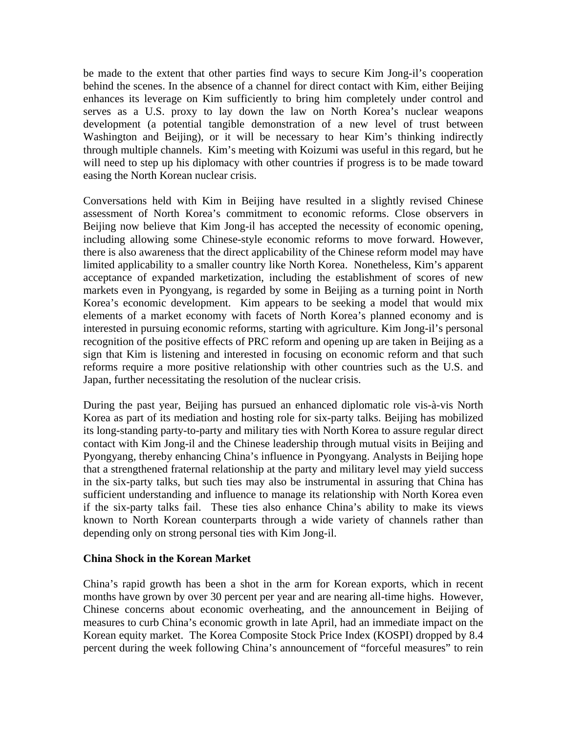be made to the extent that other parties find ways to secure Kim Jong-il's cooperation behind the scenes. In the absence of a channel for direct contact with Kim, either Beijing enhances its leverage on Kim sufficiently to bring him completely under control and serves as a U.S. proxy to lay down the law on North Korea's nuclear weapons development (a potential tangible demonstration of a new level of trust between Washington and Beijing), or it will be necessary to hear Kim's thinking indirectly through multiple channels. Kim's meeting with Koizumi was useful in this regard, but he will need to step up his diplomacy with other countries if progress is to be made toward easing the North Korean nuclear crisis.

Conversations held with Kim in Beijing have resulted in a slightly revised Chinese assessment of North Korea's commitment to economic reforms. Close observers in Beijing now believe that Kim Jong-il has accepted the necessity of economic opening, including allowing some Chinese-style economic reforms to move forward. However, there is also awareness that the direct applicability of the Chinese reform model may have limited applicability to a smaller country like North Korea. Nonetheless, Kim's apparent acceptance of expanded marketization, including the establishment of scores of new markets even in Pyongyang, is regarded by some in Beijing as a turning point in North Korea's economic development. Kim appears to be seeking a model that would mix elements of a market economy with facets of North Korea's planned economy and is interested in pursuing economic reforms, starting with agriculture. Kim Jong-il's personal recognition of the positive effects of PRC reform and opening up are taken in Beijing as a sign that Kim is listening and interested in focusing on economic reform and that such reforms require a more positive relationship with other countries such as the U.S. and Japan, further necessitating the resolution of the nuclear crisis.

During the past year, Beijing has pursued an enhanced diplomatic role vis-à-vis North Korea as part of its mediation and hosting role for six-party talks. Beijing has mobilized its long-standing party-to-party and military ties with North Korea to assure regular direct contact with Kim Jong-il and the Chinese leadership through mutual visits in Beijing and Pyongyang, thereby enhancing China's influence in Pyongyang. Analysts in Beijing hope that a strengthened fraternal relationship at the party and military level may yield success in the six-party talks, but such ties may also be instrumental in assuring that China has sufficient understanding and influence to manage its relationship with North Korea even if the six-party talks fail. These ties also enhance China's ability to make its views known to North Korean counterparts through a wide variety of channels rather than depending only on strong personal ties with Kim Jong-il.

## **China Shock in the Korean Market**

China's rapid growth has been a shot in the arm for Korean exports, which in recent months have grown by over 30 percent per year and are nearing all-time highs. However, Chinese concerns about economic overheating, and the announcement in Beijing of measures to curb China's economic growth in late April, had an immediate impact on the Korean equity market. The Korea Composite Stock Price Index (KOSPI) dropped by 8.4 percent during the week following China's announcement of "forceful measures" to rein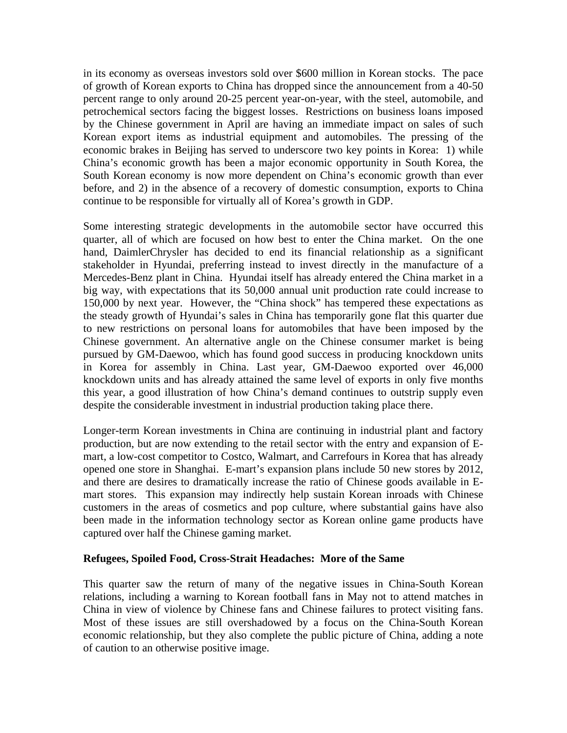in its economy as overseas investors sold over \$600 million in Korean stocks. The pace of growth of Korean exports to China has dropped since the announcement from a 40-50 percent range to only around 20-25 percent year-on-year, with the steel, automobile, and petrochemical sectors facing the biggest losses. Restrictions on business loans imposed by the Chinese government in April are having an immediate impact on sales of such Korean export items as industrial equipment and automobiles. The pressing of the economic brakes in Beijing has served to underscore two key points in Korea: 1) while China's economic growth has been a major economic opportunity in South Korea, the South Korean economy is now more dependent on China's economic growth than ever before, and 2) in the absence of a recovery of domestic consumption, exports to China continue to be responsible for virtually all of Korea's growth in GDP.

Some interesting strategic developments in the automobile sector have occurred this quarter, all of which are focused on how best to enter the China market. On the one hand, DaimlerChrysler has decided to end its financial relationship as a significant stakeholder in Hyundai, preferring instead to invest directly in the manufacture of a Mercedes-Benz plant in China. Hyundai itself has already entered the China market in a big way, with expectations that its 50,000 annual unit production rate could increase to 150,000 by next year. However, the "China shock" has tempered these expectations as the steady growth of Hyundai's sales in China has temporarily gone flat this quarter due to new restrictions on personal loans for automobiles that have been imposed by the Chinese government. An alternative angle on the Chinese consumer market is being pursued by GM-Daewoo, which has found good success in producing knockdown units in Korea for assembly in China. Last year, GM-Daewoo exported over 46,000 knockdown units and has already attained the same level of exports in only five months this year, a good illustration of how China's demand continues to outstrip supply even despite the considerable investment in industrial production taking place there.

Longer-term Korean investments in China are continuing in industrial plant and factory production, but are now extending to the retail sector with the entry and expansion of Emart, a low-cost competitor to Costco, Walmart, and Carrefours in Korea that has already opened one store in Shanghai. E-mart's expansion plans include 50 new stores by 2012, and there are desires to dramatically increase the ratio of Chinese goods available in Emart stores. This expansion may indirectly help sustain Korean inroads with Chinese customers in the areas of cosmetics and pop culture, where substantial gains have also been made in the information technology sector as Korean online game products have captured over half the Chinese gaming market.

#### **Refugees, Spoiled Food, Cross-Strait Headaches: More of the Same**

This quarter saw the return of many of the negative issues in China-South Korean relations, including a warning to Korean football fans in May not to attend matches in China in view of violence by Chinese fans and Chinese failures to protect visiting fans. Most of these issues are still overshadowed by a focus on the China-South Korean economic relationship, but they also complete the public picture of China, adding a note of caution to an otherwise positive image.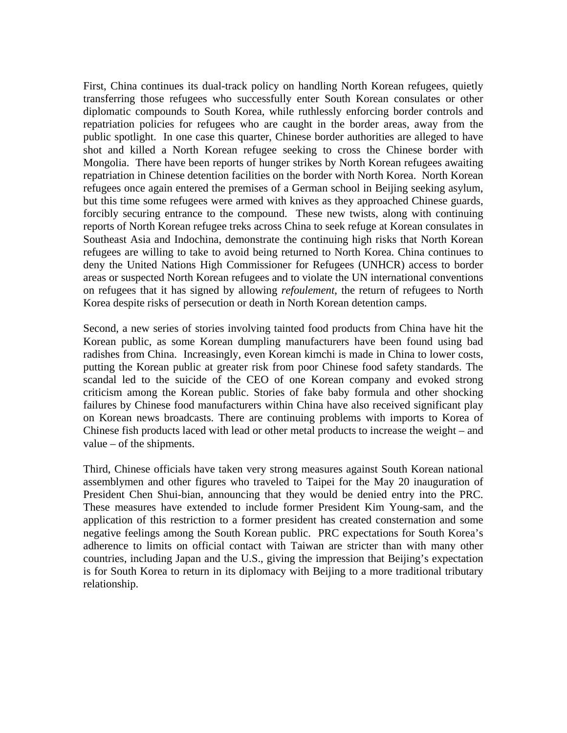First, China continues its dual-track policy on handling North Korean refugees, quietly transferring those refugees who successfully enter South Korean consulates or other diplomatic compounds to South Korea, while ruthlessly enforcing border controls and repatriation policies for refugees who are caught in the border areas, away from the public spotlight. In one case this quarter, Chinese border authorities are alleged to have shot and killed a North Korean refugee seeking to cross the Chinese border with Mongolia. There have been reports of hunger strikes by North Korean refugees awaiting repatriation in Chinese detention facilities on the border with North Korea. North Korean refugees once again entered the premises of a German school in Beijing seeking asylum, but this time some refugees were armed with knives as they approached Chinese guards, forcibly securing entrance to the compound. These new twists, along with continuing reports of North Korean refugee treks across China to seek refuge at Korean consulates in Southeast Asia and Indochina, demonstrate the continuing high risks that North Korean refugees are willing to take to avoid being returned to North Korea. China continues to deny the United Nations High Commissioner for Refugees (UNHCR) access to border areas or suspected North Korean refugees and to violate the UN international conventions on refugees that it has signed by allowing *refoulement*, the return of refugees to North Korea despite risks of persecution or death in North Korean detention camps.

Second, a new series of stories involving tainted food products from China have hit the Korean public, as some Korean dumpling manufacturers have been found using bad radishes from China. Increasingly, even Korean kimchi is made in China to lower costs, putting the Korean public at greater risk from poor Chinese food safety standards. The scandal led to the suicide of the CEO of one Korean company and evoked strong criticism among the Korean public. Stories of fake baby formula and other shocking failures by Chinese food manufacturers within China have also received significant play on Korean news broadcasts. There are continuing problems with imports to Korea of Chinese fish products laced with lead or other metal products to increase the weight – and value – of the shipments.

Third, Chinese officials have taken very strong measures against South Korean national assemblymen and other figures who traveled to Taipei for the May 20 inauguration of President Chen Shui-bian, announcing that they would be denied entry into the PRC. These measures have extended to include former President Kim Young-sam, and the application of this restriction to a former president has created consternation and some negative feelings among the South Korean public. PRC expectations for South Korea's adherence to limits on official contact with Taiwan are stricter than with many other countries, including Japan and the U.S., giving the impression that Beijing's expectation is for South Korea to return in its diplomacy with Beijing to a more traditional tributary relationship.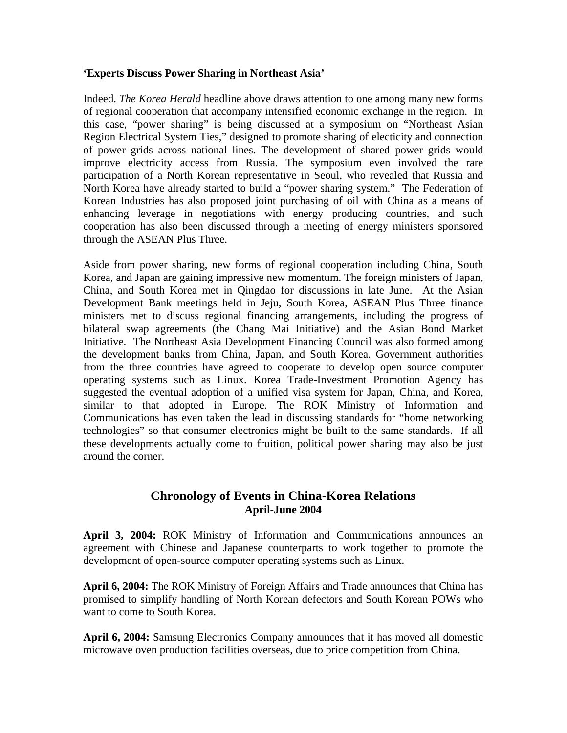# **'Experts Discuss Power Sharing in Northeast Asia'**

Indeed. *The Korea Herald* headline above draws attention to one among many new forms of regional cooperation that accompany intensified economic exchange in the region. In this case, "power sharing" is being discussed at a symposium on "Northeast Asian Region Electrical System Ties," designed to promote sharing of electicity and connection of power grids across national lines. The development of shared power grids would improve electricity access from Russia. The symposium even involved the rare participation of a North Korean representative in Seoul, who revealed that Russia and North Korea have already started to build a "power sharing system." The Federation of Korean Industries has also proposed joint purchasing of oil with China as a means of enhancing leverage in negotiations with energy producing countries, and such cooperation has also been discussed through a meeting of energy ministers sponsored through the ASEAN Plus Three.

Aside from power sharing, new forms of regional cooperation including China, South Korea, and Japan are gaining impressive new momentum. The foreign ministers of Japan, China, and South Korea met in Qingdao for discussions in late June. At the Asian Development Bank meetings held in Jeju, South Korea, ASEAN Plus Three finance ministers met to discuss regional financing arrangements, including the progress of bilateral swap agreements (the Chang Mai Initiative) and the Asian Bond Market Initiative. The Northeast Asia Development Financing Council was also formed among the development banks from China, Japan, and South Korea. Government authorities from the three countries have agreed to cooperate to develop open source computer operating systems such as Linux. Korea Trade-Investment Promotion Agency has suggested the eventual adoption of a unified visa system for Japan, China, and Korea, similar to that adopted in Europe. The ROK Ministry of Information and Communications has even taken the lead in discussing standards for "home networking technologies" so that consumer electronics might be built to the same standards. If all these developments actually come to fruition, political power sharing may also be just around the corner.

# **Chronology of Events in China-Korea Relations April-June 2004**

**April 3, 2004:** ROK Ministry of Information and Communications announces an agreement with Chinese and Japanese counterparts to work together to promote the development of open-source computer operating systems such as Linux.

**April 6, 2004:** The ROK Ministry of Foreign Affairs and Trade announces that China has promised to simplify handling of North Korean defectors and South Korean POWs who want to come to South Korea.

**April 6, 2004:** Samsung Electronics Company announces that it has moved all domestic microwave oven production facilities overseas, due to price competition from China.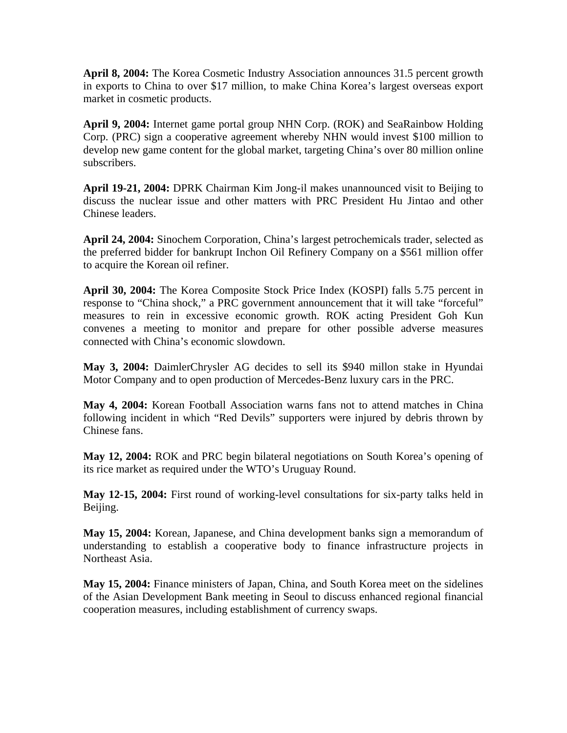**April 8, 2004:** The Korea Cosmetic Industry Association announces 31.5 percent growth in exports to China to over \$17 million, to make China Korea's largest overseas export market in cosmetic products.

**April 9, 2004:** Internet game portal group NHN Corp. (ROK) and SeaRainbow Holding Corp. (PRC) sign a cooperative agreement whereby NHN would invest \$100 million to develop new game content for the global market, targeting China's over 80 million online subscribers.

**April 19-21, 2004:** DPRK Chairman Kim Jong-il makes unannounced visit to Beijing to discuss the nuclear issue and other matters with PRC President Hu Jintao and other Chinese leaders.

**April 24, 2004:** Sinochem Corporation, China's largest petrochemicals trader, selected as the preferred bidder for bankrupt Inchon Oil Refinery Company on a \$561 million offer to acquire the Korean oil refiner.

**April 30, 2004:** The Korea Composite Stock Price Index (KOSPI) falls 5.75 percent in response to "China shock," a PRC government announcement that it will take "forceful" measures to rein in excessive economic growth. ROK acting President Goh Kun convenes a meeting to monitor and prepare for other possible adverse measures connected with China's economic slowdown.

**May 3, 2004:** DaimlerChrysler AG decides to sell its \$940 millon stake in Hyundai Motor Company and to open production of Mercedes-Benz luxury cars in the PRC.

**May 4, 2004:** Korean Football Association warns fans not to attend matches in China following incident in which "Red Devils" supporters were injured by debris thrown by Chinese fans.

**May 12, 2004:** ROK and PRC begin bilateral negotiations on South Korea's opening of its rice market as required under the WTO's Uruguay Round.

**May 12-15, 2004:** First round of working-level consultations for six-party talks held in Beijing.

**May 15, 2004:** Korean, Japanese, and China development banks sign a memorandum of understanding to establish a cooperative body to finance infrastructure projects in Northeast Asia.

**May 15, 2004:** Finance ministers of Japan, China, and South Korea meet on the sidelines of the Asian Development Bank meeting in Seoul to discuss enhanced regional financial cooperation measures, including establishment of currency swaps.